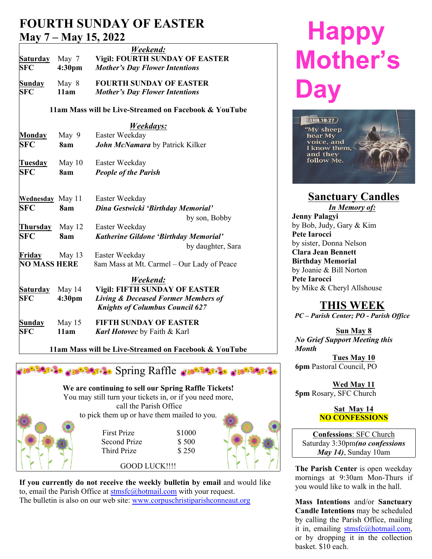## **FOURTH SUNDAY OF EASTER May 7 – May 15, 2022**

| <b>Saturday</b>             | May 7              | Weekend:<br><b>Vigil: FOURTH SUNDAY OF EASTER</b>                       |
|-----------------------------|--------------------|-------------------------------------------------------------------------|
| <b>SFC</b>                  | 4:30 <sub>pm</sub> | <b>Mother's Day Flower Intentions</b>                                   |
| <b>Sunday</b><br><b>SFC</b> | May 8<br>11am      | <b>FOURTH SUNDAY OF EASTER</b><br><b>Mother's Day Flower Intentions</b> |

### **11am Mass will be Live-Streamed on Facebook & YouTube**

|                               |                              | <i><b>Weekdays:</b></i>                                                                                                          |                    |
|-------------------------------|------------------------------|----------------------------------------------------------------------------------------------------------------------------------|--------------------|
| Monday                        | May 9                        | Easter Weekday                                                                                                                   |                    |
| <b>SFC</b>                    | 8am                          | John McNamara by Patrick Kilker                                                                                                  |                    |
| Tuesday                       | May $10$                     | Easter Weekday                                                                                                                   |                    |
| <b>SFC</b>                    | 8am                          | <b>People of the Parish</b>                                                                                                      |                    |
| Wednesday May 11              |                              | Easter Weekday                                                                                                                   |                    |
| <b>SFC</b>                    | 8am                          | Dina Gestwicki 'Birthday Memorial'                                                                                               |                    |
|                               |                              | by son, Bobby                                                                                                                    | Jenr               |
| Thursday                      | May 12                       | Easter Weekday                                                                                                                   | by B               |
| <b>SFC</b>                    | 8am                          | Katherine Gildone 'Birthday Memorial'                                                                                            | Pete               |
|                               |                              | by daughter, Sara                                                                                                                | by si              |
| Friday                        | May 13                       | Easter Weekday                                                                                                                   | Clar               |
| <b>NO MASS HERE</b>           |                              | 8am Mass at Mt. Carmel - Our Lady of Peace                                                                                       | <b>Birt</b>        |
|                               |                              | Weekend:                                                                                                                         | by Jo<br>Pete      |
| <b>Saturday</b><br><b>SFC</b> | May 14<br>4:30 <sub>pm</sub> | <b>Vigil: FIFTH SUNDAY OF EASTER</b><br><b>Living &amp; Deceased Former Members of</b><br><b>Knights of Columbus Council 627</b> | by N               |
| Sunday<br><b>SFC</b>          | May 15<br>11am               | <b>FIFTH SUNDAY OF EASTER</b><br><b>Karl Hotovec</b> by Faith & Karl                                                             | PC<br>$N_{\Omega}$ |

 **11am Mass will be Live-Streamed on Facebook & YouTube**



**If you currently do not receive the weekly bulletin by email** and would like to, email the Parish Office at stmsfc@hotmail.com with your request. The bulletin is also on our web site: www.corpuschristiparishconneaut.org

# **Happy Mother's Day**



## **Sanctuary Candles**

*In Memory of:* **Jenny Palagyi** by Bob, Judy, Gary & Kim **Pete Iarocci** by sister, Donna Nelson **Clara Jean Bennett Birthday Memorial** by Joanie & Bill Norton **Pete Iarocci** by Mike & Cheryl Allshouse

## **THIS WEEK**

*PC – Parish Center; PO - Parish Office*

**Sun May 8** *No Grief Support Meeting this Month*

**Tues May 10 6pm** Pastoral Council, PO

**Wed May 11 5pm** Rosary, SFC Church

#### **Sat May 14 NO CONFESSIONS**

**Confessions**: SFC Church Saturday 3:30pm*(no confessions May 14)*, Sunday 10am

**The Parish Center** is open weekday mornings at 9:30am Mon-Thurs if you would like to walk in the hall.

**Mass Intentions** and/or **Sanctuary Candle Intentions** may be scheduled by calling the Parish Office, mailing it in, emailing stmsfc@hotmail.com, or by dropping it in the collection basket. \$10 each.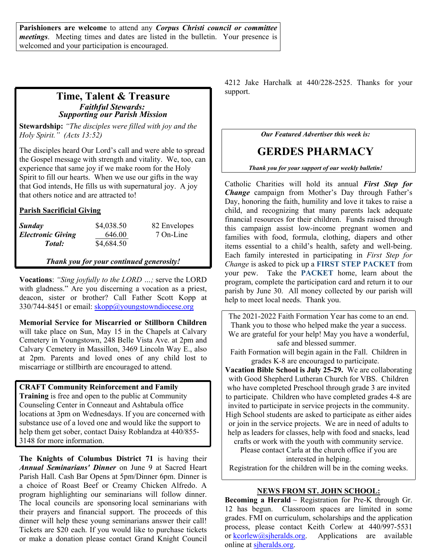**Parishioners are welcome** to attend any *Corpus Christi council or committee meetings*. Meeting times and dates are listed in the bulletin. Your presence is welcomed and your participation is encouraged.

## **Time, Talent & Treasure** *Faithful Stewards: Supporting our Parish Mission*

**Stewardship:** *"The disciples were filled with joy and the Holy Spirit." (Acts 13:52)*

The disciples heard Our Lord's call and were able to spread the Gospel message with strength and vitality. We, too, can experience that same joy if we make room for the Holy Spirit to fill our hearts. When we use our gifts in the way that God intends, He fills us with supernatural joy. A joy that others notice and are attracted to!

#### **Parish Sacrificial Giving**

| <b>Sunday</b>            | \$4,038.50 | 82 Envelopes | ***********<br>this cam |
|--------------------------|------------|--------------|-------------------------|
| <b>Electronic Giving</b> | 646.00     | 7 On-Line    | families                |
| Total:                   | \$4,684.50 |              | items ess               |

*Thank you for your continued generosity!*

**Vocations**: *"Sing joyfully to the LORD …;* serve the LORD with gladness." Are you discerning a vocation as a priest, deacon, sister or brother? Call Father Scott Kopp at 330/744-8451 or email:  $skopp@$ youngstowndiocese.org

**Memorial Service for Miscarried or Stillborn Children** will take place on Sun, May 15 in the Chapels at Calvary Cemetery in Youngstown, 248 Belle Vista Ave. at 2pm and Calvary Cemetery in Massillon, 3469 Lincoln Way E., also at 2pm. Parents and loved ones of any child lost to miscarriage or stillbirth are encouraged to attend.

#### **CRAFT Community Reinforcement and Family Training** is free and open to the public at Community Counseling Center in Conneaut and Ashtabula office locations at 3pm on Wednesdays. If you are concerned with substance use of a loved one and would like the support to

help them get sober, contact Daisy Roblandza at 440/855- 3148 for more information.

**The Knights of Columbus District 71** is having their *Annual Seminarians' Dinner* on June 9 at Sacred Heart Parish Hall. Cash Bar Opens at 5pm/Dinner 6pm. Dinner is a choice of Roast Beef or Creamy Chicken Alfredo. A program highlighting our seminarians will follow dinner. The local councils are sponsoring local seminarians with their prayers and financial support. The proceeds of this dinner will help these young seminarians answer their call! Tickets are \$20 each. If you would like to purchase tickets process, please contact **F**<br>or make a donation please contact Grand Knight Goungil or kcorlew@sjheralds.org. or make a donation please contact Grand Knight Council

4212 Jake Harchalk at 440/228-2525. Thanks for your support.

*Our Featured Advertiser this week is:*

## **GERDES PHARMACY**

*Thank you for your support of our weekly bulletin!*

Catholic Charities will hold its annual *First Step for Change* campaign from Mother's Day through Father's Day, honoring the faith, humility and love it takes to raise a child, and recognizing that many parents lack adequate financial resources for their children. Funds raised through this campaign assist low-income pregnant women and families with food, formula, clothing, diapers and other items essential to a child's health, safety and well-being. Each family interested in participating in *First Step for Change* is asked to pick up a **FIRST STEP PACKET** from your pew. Take the **PACKET** home, learn about the program, complete the participation card and return it to our parish by June 30. All money collected by our parish will help to meet local needs. Thank you.

The 2021-2022 Faith Formation Year has come to an end. Thank you to those who helped make the year a success. We are grateful for your help! May you have a wonderful, safe and blessed summer.

Faith Formation will begin again in the Fall. Children in grades K-8 are encouraged to participate.

**Vacation Bible School is July 25-29.** We are collaborating with Good Shepherd Lutheran Church for VBS. Children who have completed Preschool through grade 3 are invited to participate. Children who have completed grades 4-8 are invited to participate in service projects in the community. High School students are asked to participate as either aides or join in the service projects. We are in need of adults to help as leaders for classes, help with food and snacks, lead crafts or work with the youth with community service.

Please contact Carla at the church office if you are interested in helping.

Registration for the children will be in the coming weeks.

#### **NEWS FROM ST. JOHN SCHOOL:**

**Becoming a Herald**  $\sim$  Registration for Pre-K through Gr. 12 has begun. Classroom spaces are limited in some grades. FMI on curriculum, scholarships and the application process, please contact Keith Corlew at 440/997-5531 Applications are available online at sjheralds.org.